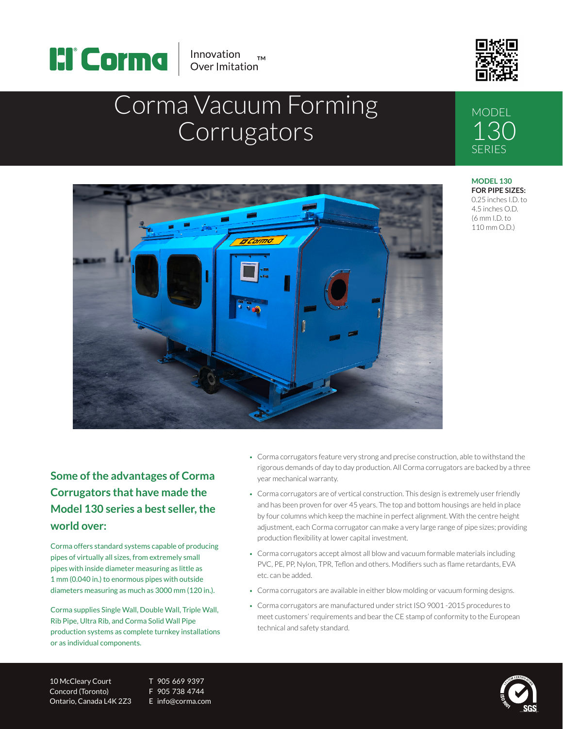



**MODEL** 

130 SERIES

# Corma Vacuum Forming **Corrugators**



#### **MODEL 130 FOR PIPE SIZES:** 0.25 inches I.D. to 4.5 inches O.D. (6 mm I.D. to 110 mm O.D.)

### **Some of the advantages of Corma Corrugators that have made the Model 130 series a best seller, the world over:**

Corma offers standard systems capable of producing pipes of virtually all sizes, from extremely small pipes with inside diameter measuring as little as 1 mm (0.040 in.) to enormous pipes with outside diameters measuring as much as 3000 mm (120 in.).

Corma supplies Single Wall, Double Wall, Triple Wall, Rib Pipe, Ultra Rib, and Corma Solid Wall Pipe production systems as complete turnkey installations or as individual components.

• Corma corrugators feature very strong and precise construction, able to withstand the rigorous demands of day to day production. All Corma corrugators are backed by a three year mechanical warranty.

- Corma corrugators are of vertical construction. This design is extremely user friendly and has been proven for over 45 years. The top and bottom housings are held in place by four columns which keep the machine in perfect alignment. With the centre height adjustment, each Corma corrugator can make a very large range of pipe sizes; providing production flexibility at lower capital investment.
- Corma corrugators accept almost all blow and vacuum formable materials including PVC, PE, PP, Nylon, TPR, Teflon and others. Modifiers such as flame retardants, EVA etc. can be added.
- Corma corrugators are available in either blow molding or vacuum forming designs.
- Corma corrugators are manufactured under strict ISO 9001 -2015 procedures to meet customers' requirements and bear the CE stamp of conformity to the European technical and safety standard.

10 McCleary Court T 905 669 9397 Concord (Toronto) F 905 738 4744 Ontario, Canada L4K 2Z3 E info@corma.com